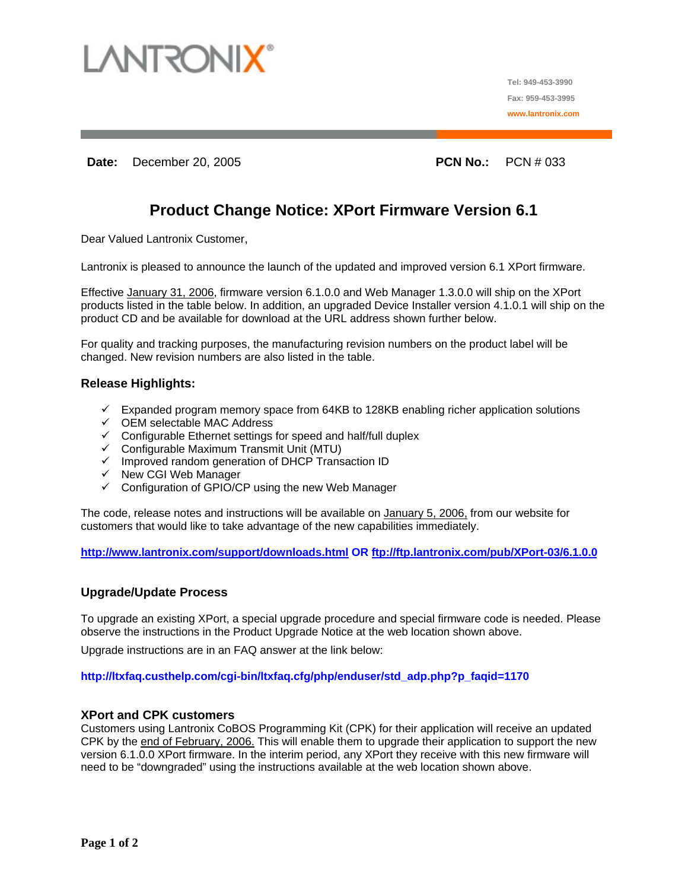

**Tel: 949-453-3990 Fax: 959-453-3995 www.lantronix.com**

**Date:** December 20, 2005 **PCN No.:** PCN # 033

# **Product Change Notice: XPort Firmware Version 6.1**

Dear Valued Lantronix Customer,

Lantronix is pleased to announce the launch of the updated and improved version 6.1 XPort firmware.

Effective January 31, 2006, firmware version 6.1.0.0 and Web Manager 1.3.0.0 will ship on the XPort products listed in the table below. In addition, an upgraded Device Installer version 4.1.0.1 will ship on the product CD and be available for download at the URL address shown further below.

For quality and tracking purposes, the manufacturing revision numbers on the product label will be changed. New revision numbers are also listed in the table.

#### **Release Highlights:**

- $\checkmark$  Expanded program memory space from 64KB to 128KB enabling richer application solutions
- $\checkmark$  OEM selectable MAC Address
- $\checkmark$  Configurable Ethernet settings for speed and half/full duplex
- $\checkmark$  Configurable Maximum Transmit Unit (MTU)
- $\checkmark$  Improved random generation of DHCP Transaction ID
- $\checkmark$  New CGI Web Manager
- $\checkmark$  Configuration of GPIO/CP using the new Web Manager

The code, release notes and instructions will be available on January 5, 2006, from our website for customers that would like to take advantage of the new capabilities immediately.

**<http://www.lantronix.com/support/downloads.html> OR <ftp://ftp.lantronix.com/pub/XPort-03/6.1.0.0>**

#### **Upgrade/Update Process**

To upgrade an existing XPort, a special upgrade procedure and special firmware code is needed. Please observe the instructions in the Product Upgrade Notice at the web location shown above.

Upgrade instructions are in an FAQ answer at the link below:

#### **http://ltxfaq.custhelp.com/cgi-bin/ltxfaq.cfg/php/enduser/std\_adp.php?p\_faqid=1170**

#### **XPort and CPK customers**

Customers using Lantronix CoBOS Programming Kit (CPK) for their application will receive an updated CPK by the end of February, 2006. This will enable them to upgrade their application to support the new version 6.1.0.0 XPort firmware. In the interim period, any XPort they receive with this new firmware will need to be "downgraded" using the instructions available at the web location shown above.